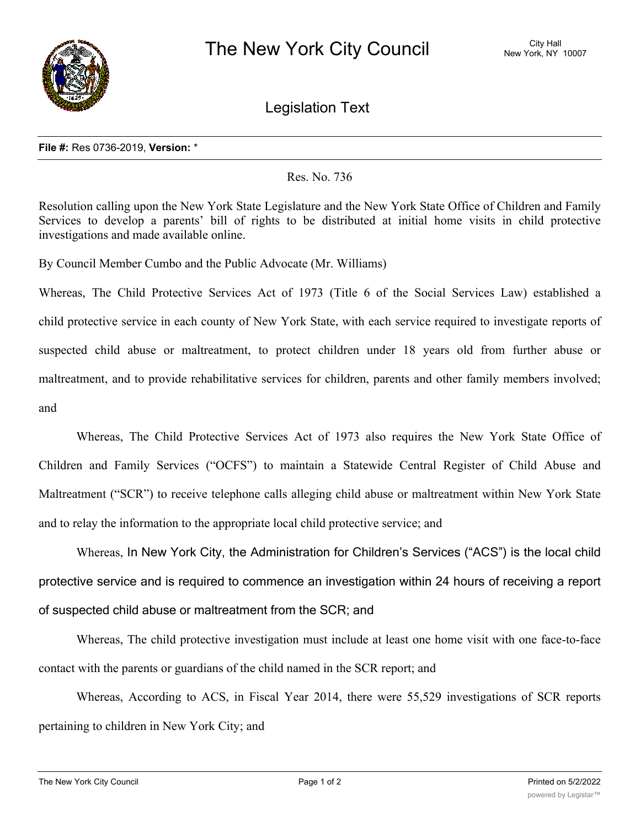

Legislation Text

## **File #:** Res 0736-2019, **Version:** \*

## Res. No. 736

Resolution calling upon the New York State Legislature and the New York State Office of Children and Family Services to develop a parents' bill of rights to be distributed at initial home visits in child protective investigations and made available online.

By Council Member Cumbo and the Public Advocate (Mr. Williams)

Whereas, The Child Protective Services Act of 1973 (Title 6 of the Social Services Law) established a child protective service in each county of New York State, with each service required to investigate reports of suspected child abuse or maltreatment, to protect children under 18 years old from further abuse or maltreatment, and to provide rehabilitative services for children, parents and other family members involved; and

Whereas, The Child Protective Services Act of 1973 also requires the New York State Office of Children and Family Services ("OCFS") to maintain a Statewide Central Register of Child Abuse and Maltreatment ("SCR") to receive telephone calls alleging child abuse or maltreatment within New York State and to relay the information to the appropriate local child protective service; and

Whereas, In New York City, the Administration for Children's Services ("ACS") is the local child protective service and is required to commence an investigation within 24 hours of receiving a report of suspected child abuse or maltreatment from the SCR; and

Whereas, The child protective investigation must include at least one home visit with one face-to-face contact with the parents or guardians of the child named in the SCR report; and

Whereas, According to ACS, in Fiscal Year 2014, there were 55,529 investigations of SCR reports pertaining to children in New York City; and